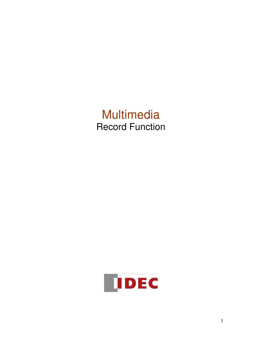# **Multimedia** Record Function

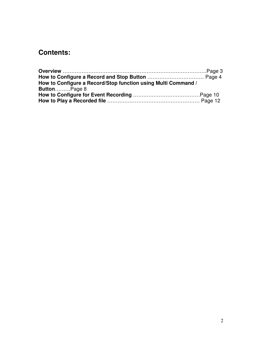# **Contents:**

| How to Configure a Record/Stop function using Multi Command / |  |
|---------------------------------------------------------------|--|
| <b>ButtonPage 8</b>                                           |  |
|                                                               |  |
|                                                               |  |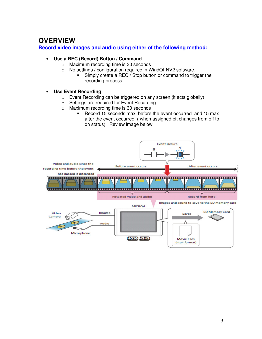# **OVERVIEW**

## **Record video images and audio using either of the following method:**

#### • **Use a REC (Record) Button / Command**

- o Maximum recording time is 30 seconds
- o No settings / configuration required in WindOI-NV2 software.
	- Simply create a REC / Stop button or command to trigger the recording process.

#### • **Use Event Recording**

- o Event Recording can be triggered on any screen (it acts globally).
- o Settings are required for Event Recording
- o Maximum recording time is 30 seconds
	- Record 15 seconds max. before the event occurred and 15 max after the event occurred ( when assigned bit changes from off to on status). Review image below.

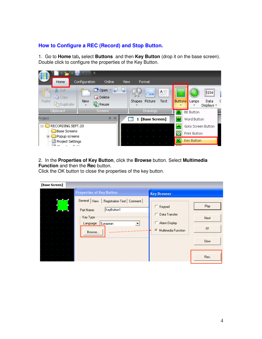# **How to Configure a REC (Record) and Stop Button.**

1.Go to **Home** tab**,** select **Buttons** and then **Key Button** (drop it on the base screen). Double click to configure the properties of the Key Button.



#### 2. In the **Properties of Key Button**, click the **Browse** button. Select **Multimedia Function** and then the **Rec** button.

Click the OK button to close the properties of the key button.

| [Base Screen]      |                                             |                                  |      |
|--------------------|---------------------------------------------|----------------------------------|------|
| and the control of | <b>Properties of Key Button</b>             | <b>Key Browser</b>               |      |
| <b>All Control</b> | General View<br>Registration Text   Comment |                                  |      |
|                    | KeyButton1<br>Part Name:                    | C Keypad                         | Play |
|                    | Key Type:                                   | C Data Transfer                  | Next |
|                    | European<br>≖<br>Language:                  | Alarm Display                    |      |
| ×                  | Browse                                      | G.<br><b>Multimedia Function</b> | FF   |
|                    |                                             |                                  | Slow |
| $\sim$             |                                             |                                  |      |
|                    |                                             |                                  |      |
|                    |                                             |                                  | Rec. |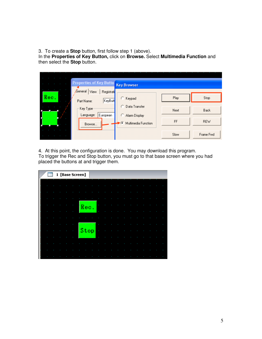3.To create a **Stop** button, first follow step 1 (above).

In the **Properties of Key Button,** click on **Browse.** Select **Multimedia Function** and then select the **Stop** button.

|      | <b>Properties of Key Buttor</b><br>General<br>View<br>Registrati | <b>Key Browser</b>                  |      |             |
|------|------------------------------------------------------------------|-------------------------------------|------|-------------|
| Rec. | KeyButt<br>Part Name:                                            | Keypad                              | Play | Stop        |
|      | Key Type:<br>European<br>Language:                               | Data Transfer<br>o<br>Alarm Display | Next | <b>Back</b> |
|      | Browse                                                           | G<br>Multimedia Function            | FF   | <b>REW</b>  |
|      |                                                                  |                                     | Slow | Frame Fwd   |

4.At this point, the configuration is done. You may download this program. To trigger the Rec and Stop button, you must go to that base screen where you had placed the buttons at and trigger them.

| 1 [Base Screen] |      |  |  |  |  |  |  |
|-----------------|------|--|--|--|--|--|--|
|                 |      |  |  |  |  |  |  |
|                 |      |  |  |  |  |  |  |
|                 |      |  |  |  |  |  |  |
|                 | Rec. |  |  |  |  |  |  |
|                 |      |  |  |  |  |  |  |
|                 |      |  |  |  |  |  |  |
|                 | Stop |  |  |  |  |  |  |
|                 |      |  |  |  |  |  |  |
|                 |      |  |  |  |  |  |  |
|                 |      |  |  |  |  |  |  |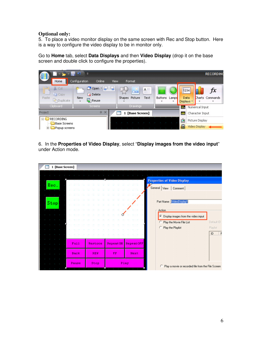#### **Optional only:**

5.To place a video monitor display on the same screen with Rec and Stop button. Here is a way to configure the video display to be in monitor only.

Go to **Home** tab, select **Data Displays** and then **Video Display** (drop it on the base screen and double click to configure the properties).



6. In the **Properties of Video Display**, select "**Display images from the video input**" under Action mode.

| 1 [Base Screen] |  |  |  |       |  |  |            |         |  |     |                 |      |             |                                                      |
|-----------------|--|--|--|-------|--|--|------------|---------|--|-----|-----------------|------|-------------|------------------------------------------------------|
|                 |  |  |  |       |  |  |            |         |  |     |                 |      |             |                                                      |
|                 |  |  |  |       |  |  |            |         |  |     |                 |      |             | <b>Properties of Video Display</b>                   |
| Rec.            |  |  |  |       |  |  |            |         |  |     |                 |      |             | General View<br>Comment                              |
|                 |  |  |  |       |  |  |            |         |  |     |                 |      |             |                                                      |
|                 |  |  |  |       |  |  |            |         |  |     |                 |      |             |                                                      |
| Stop            |  |  |  |       |  |  |            |         |  |     |                 |      |             | Part Name: VideoDisplay1                             |
|                 |  |  |  |       |  |  |            |         |  |     |                 |      |             |                                                      |
|                 |  |  |  |       |  |  |            |         |  |     |                 |      |             | Action                                               |
|                 |  |  |  |       |  |  |            |         |  |     |                 |      |             | F Display images from the video input                |
|                 |  |  |  |       |  |  |            |         |  |     |                 |      |             | Default ID<br>Play the Movie File List               |
|                 |  |  |  |       |  |  |            |         |  |     |                 |      |             | Play the Playlist<br>Playlist                        |
|                 |  |  |  |       |  |  |            |         |  |     |                 |      |             | ID<br>F                                              |
|                 |  |  |  |       |  |  |            |         |  |     |                 |      |             |                                                      |
|                 |  |  |  | Full  |  |  |            | Restore |  |     | <b>RepeatON</b> |      | RepeatOFF   |                                                      |
|                 |  |  |  |       |  |  |            |         |  |     |                 |      |             |                                                      |
|                 |  |  |  | Back  |  |  | <b>REW</b> |         |  | FF. |                 |      | <b>Next</b> |                                                      |
|                 |  |  |  |       |  |  |            |         |  |     |                 |      |             |                                                      |
|                 |  |  |  | Pause |  |  | Stop       |         |  |     |                 | Play |             | C Play a movie or recorded file from the File Screen |
|                 |  |  |  |       |  |  |            |         |  |     |                 |      |             |                                                      |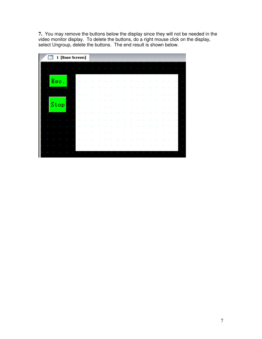**7.** You may remove the buttons below the display since they will not be needed in the video monitor display. To delete the buttons, do a right mouse click on the display, select Ungroup, delete the buttons. The end result is shown below.

| 1 [Base Screen]     |           |        |        |        |   |           |         |
|---------------------|-----------|--------|--------|--------|---|-----------|---------|
|                     |           |        |        |        |   |           |         |
| ٠                   | $\bullet$ | ×<br>× | ×<br>× | ×<br>× | × | $\bullet$ |         |
| Rec.<br>×<br>×      |           |        |        |        |   |           | ٠<br>ä, |
|                     |           |        |        |        |   |           | ä,      |
| ٠<br>Stop<br>÷<br>t |           |        |        |        |   |           | ÷<br>×  |
|                     |           |        |        |        |   |           | ٠       |
|                     |           |        |        |        |   |           | ×       |
|                     |           |        |        |        |   |           | ٠<br>×, |
|                     |           |        |        |        |   |           |         |
|                     |           |        |        |        |   |           | ¥       |
|                     |           |        |        |        |   |           |         |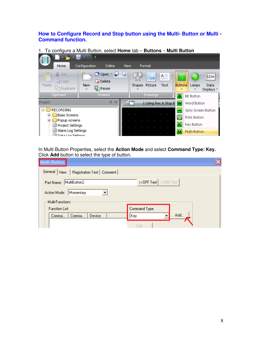# **How to Configure Record and Stop button using the Multi- Button or Multi - Command function.**

1. To configure a Multi Button, select **Home** tab – **Buttons** – **Multi Button** 

|                                                   | м<br>$\overline{a}$      |             |                |          |                         |                |                   |                    |
|---------------------------------------------------|--------------------------|-------------|----------------|----------|-------------------------|----------------|-------------------|--------------------|
| Home                                              | Configuration<br>Online  | <b>View</b> | Format         |          |                         |                |                   |                    |
| $\frac{1}{2}$<br>% Cut<br>Ligh Copy               | Open<br><b>Delete</b>    |             |                | m.       | $A =$                   |                |                   | 1234               |
| Paste<br>loplicate                                | <b>New</b><br>Reuse<br>÷ |             | Shapes Picture |          | Text                    | <b>Buttons</b> | Lamps             | Data<br>Displays * |
| Clipboard                                         | <b>Screens</b>           |             |                | Drawings |                         | B              | <b>Bit Button</b> |                    |
| Project                                           | Д.                       | $\times$    |                |          | 1 Using Rec & Stop B    | w              | Word Button       |                    |
| <b>RECORDING</b><br>F                             |                          |             |                |          |                         | ۰              |                   | Goto Screen Button |
| <b>Base Screens</b>                               |                          |             |                |          |                         | ⊜              | Print Button      |                    |
| <b>Popup screens</b><br>Project Settings          |                          |             |                |          | $\overline{\mathbf{K}}$ | Key Button     |                   |                    |
| Alarm Log Settings<br><b>El Data Log Settings</b> |                          |             |                |          | $\mathbf{M}$            | Multi-Button   |                   |                    |

In Multi Button Properties, select the **Action Mode** and select **Command Type: Key.**  Click **Add** button to select the type of button.

| Multi-Button                                 |                                                |
|----------------------------------------------|------------------------------------------------|
| General   View   Registration Text   Comment |                                                |
| Part Name: MultiButton2                      | $\rightarrow$ OFF Text $\rightarrow$ >>ON Text |
| Momentary<br>Action Mode:                    |                                                |
| Multi-Functions                              |                                                |
| <b>Function List:</b>                        | Command Type:                                  |
| Device<br>Comma<br>Comma                     | Add<br>Key                                     |
|                                              | Edit.                                          |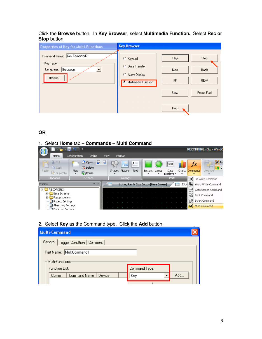Click the **Browse** button.In **Key Browser**, select **Multimedia Function.** Select **Rec or Stop** button.

| <b>Properties of Key for Multi-Functions</b>                                                              | <b>Key Browser</b>                                                                 |                    |                            |
|-----------------------------------------------------------------------------------------------------------|------------------------------------------------------------------------------------|--------------------|----------------------------|
| Key Command2<br>Command Name:<br>Key Type:<br>European<br>Language:<br>$\overline{\phantom{a}}$<br>Browse | C Keypad<br>Data Transfer<br>C.<br>C.<br>Alarm Display<br>Multimedia Function<br>Œ | Play<br>Next<br>FF | Stop<br>Back<br><b>REW</b> |
|                                                                                                           |                                                                                    | Slow               | Frame Fwd                  |
|                                                                                                           |                                                                                    | Rec.               |                            |

**OR** 

#### 1. Select **Home** tab – **Commands** – **Multi Command**



2. Select **Key** as the Command type**.** Click the **Add** button.

| <b>Multi-Command</b>                      |               |  |  |  |  |  |  |
|-------------------------------------------|---------------|--|--|--|--|--|--|
| General  <br>Trigger Condition<br>Comment |               |  |  |  |  |  |  |
| Part Name: MultiCommand1                  |               |  |  |  |  |  |  |
| Multi-Functions                           |               |  |  |  |  |  |  |
| <b>Function List:</b>                     | Command Type: |  |  |  |  |  |  |
| Command Name<br>Device<br>Comm            | Add<br>Key    |  |  |  |  |  |  |
|                                           |               |  |  |  |  |  |  |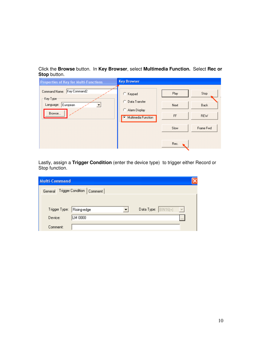Click the **Browse** button.In **Key Browser**, select **Multimedia Function.** Select **Rec or Stop** button.

| <b>Properties of Key for Multi-Functions</b>                                       | <b>Key Browser</b>                                                              |                    |                                   |
|------------------------------------------------------------------------------------|---------------------------------------------------------------------------------|--------------------|-----------------------------------|
| Key Command2<br>Command Name:<br>Key Type:<br>European<br>Language:<br>▼<br>Browse | C Keypad<br>C Data Transfer<br>C.<br>Alarm Display<br>Multimedia Function<br>G. | Play<br>Next<br>FF | Stop<br><b>Back</b><br><b>REW</b> |
|                                                                                    |                                                                                 | Slow               | Frame Fwd                         |
|                                                                                    |                                                                                 | Rec.               |                                   |

Lastly, assign a **Trigger Condition** (enter the device type) to trigger either Record or Stop function.

| <b>Multi-Command</b> |                                                                |  |
|----------------------|----------------------------------------------------------------|--|
| General              | Trigger Condition   Comment                                    |  |
|                      |                                                                |  |
| Trigger Type:        | Data Type: $ $ BIN16(+)<br>Rising-edge<br>$\vert \nabla \vert$ |  |
| Device:              | LM 0000                                                        |  |
| Comment:             |                                                                |  |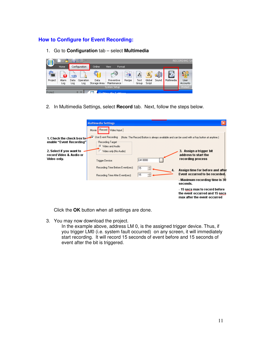# **How to Configure for Event Recording:**

1. Go to **Configuration** tab – select **Multimedia**

|                                | ᄐ<br>吻<br>$\overline{a}$<br><b>M</b><br>大臣 |                            |                            |              |             |               |                 |                    |       | <b>RECORDING SA</b> |          |
|--------------------------------|--------------------------------------------|----------------------------|----------------------------|--------------|-------------|---------------|-----------------|--------------------|-------|---------------------|----------|
|                                | Home                                       |                            | Configuration              | Online       | <b>View</b> | <b>Format</b> |                 |                    |       |                     |          |
| Project                        | --<br>$\sim$<br>Alarm                      | $-0$<br>___<br>123<br>Data | $\sim$<br>$-$<br>Operation | Data         | Preventive  | 的<br>Recipe   | $A^B$ c<br>Text | $\bm{S}$<br>Global | Sound | Multimedia          | User     |
|                                | Log                                        | Log                        | Log                        | Storage Area | Maintenance |               | Group           | Script             |       |                     | Accounts |
| System Setup                   |                                            |                            |                            |              |             |               |                 | Protect            |       |                     |          |
| ×<br>Project<br>л<br>$0 - 145$ |                                            |                            |                            |              |             |               |                 |                    |       |                     |          |

2. In Multimedia Settings, select **Record** tab. Next, follow the steps below.

|                                                                                                                                                      | <b>Multimedia Settings</b>            |         |                                                                                                  |  |  |  |  |  |  |
|------------------------------------------------------------------------------------------------------------------------------------------------------|---------------------------------------|---------|--------------------------------------------------------------------------------------------------|--|--|--|--|--|--|
|                                                                                                                                                      | Movie Record Video Input              |         |                                                                                                  |  |  |  |  |  |  |
| Use Event Recording<br>≂<br>(Note: The Record Button is always available and can be used with a Key button at anytime.)<br>1. Check the check box to |                                       |         |                                                                                                  |  |  |  |  |  |  |
| enable "Event Recording"                                                                                                                             | Recording Target<br>G Video and Audio |         |                                                                                                  |  |  |  |  |  |  |
| 2. Select if you want to                                                                                                                             | Video only (No Audio)                 |         | 3. Assign a trigger bit                                                                          |  |  |  |  |  |  |
| Video only.                                                                                                                                          | Trigger Device:                       | LM 0000 | recording process                                                                                |  |  |  |  |  |  |
|                                                                                                                                                      | Recording Time Before Event(sec):     | 15<br>÷ |                                                                                                  |  |  |  |  |  |  |
|                                                                                                                                                      | Recording Time After Event(sec):      | ÷<br>15 | Event occurred to be recorded.                                                                   |  |  |  |  |  |  |
|                                                                                                                                                      |                                       |         | - Maximum recording time is 30<br>seconds.                                                       |  |  |  |  |  |  |
|                                                                                                                                                      |                                       |         | - 15 secs max to record before<br>the event occurred and 15 secs<br>max after the event occurred |  |  |  |  |  |  |
| record Video & Audio or                                                                                                                              |                                       | 4.      | address to start the<br>Assign time for before and after                                         |  |  |  |  |  |  |

Click the **OK** button when all settings are done.

3. You may now download the project.

In the example above, address LM 0, is the assigned trigger device. Thus, if you trigger LM0 (i.e. system fault occurred) on any screen, it will immediately start recording. It will record 15 seconds of event before and 15 seconds of event after the bit is triggered.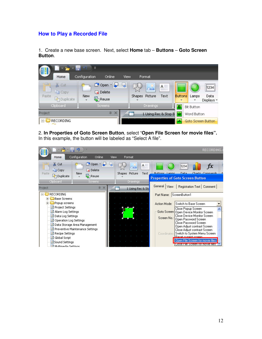## **How to Play a Recorded File**

1. Create a new base screen. Next, select **Home** tab – **Buttons** – **Goto Screen Button**.



2. **In Properties of Goto Screen Button**, select "**Open File Screen for movie files".**  In this example, the button will be labeled as "Select A file".

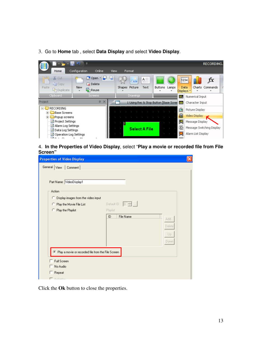3. Go to **Home** tab , select **Data Display** and select **Video Display**.



4. **In the Properties of Video Display**, select "**Play a movie or recorded file from File Screen"** 

| <b>Properties of Video Display</b>                   |                                                     | $\overline{\mathsf{x}}$ |
|------------------------------------------------------|-----------------------------------------------------|-------------------------|
| General View<br>Comment                              |                                                     |                         |
|                                                      |                                                     |                         |
| Part Name: VideoDisplay1                             |                                                     |                         |
| Action                                               |                                                     |                         |
|                                                      |                                                     |                         |
| C Display images from the video input                |                                                     |                         |
| C Play the Movie File List                           | Default ID : $\boxed{0 - \frac{1}{\sqrt{2}} \dots}$ |                         |
| C Play the Playlist                                  | Playlist                                            |                         |
|                                                      | File Name<br>ID                                     | Add                     |
|                                                      |                                                     | Delete                  |
|                                                      |                                                     | Up                      |
|                                                      |                                                     |                         |
|                                                      |                                                     | Down                    |
| C Play a movie or recorded file from the File Screen |                                                     |                         |
|                                                      |                                                     |                         |
| Full Screen                                          |                                                     |                         |
| No Audio                                             |                                                     |                         |
| Repeat                                               |                                                     |                         |
| - - - -                                              |                                                     |                         |

Click the **Ok** button to close the properties.